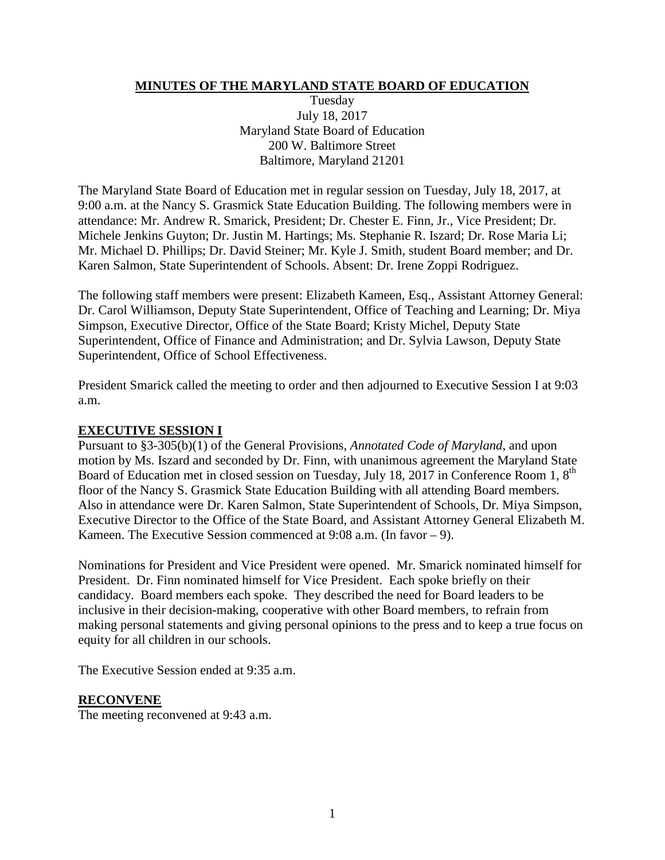#### **MINUTES OF THE MARYLAND STATE BOARD OF EDUCATION**

Tuesday July 18, 2017 Maryland State Board of Education 200 W. Baltimore Street Baltimore, Maryland 21201

The Maryland State Board of Education met in regular session on Tuesday, July 18, 2017, at 9:00 a.m. at the Nancy S. Grasmick State Education Building. The following members were in attendance: Mr. Andrew R. Smarick, President; Dr. Chester E. Finn, Jr., Vice President; Dr. Michele Jenkins Guyton; Dr. Justin M. Hartings; Ms. Stephanie R. Iszard; Dr. Rose Maria Li; Mr. Michael D. Phillips; Dr. David Steiner; Mr. Kyle J. Smith, student Board member; and Dr. Karen Salmon, State Superintendent of Schools. Absent: Dr. Irene Zoppi Rodriguez.

The following staff members were present: Elizabeth Kameen, Esq., Assistant Attorney General: Dr. Carol Williamson, Deputy State Superintendent, Office of Teaching and Learning; Dr. Miya Simpson, Executive Director, Office of the State Board; Kristy Michel, Deputy State Superintendent, Office of Finance and Administration; and Dr. Sylvia Lawson, Deputy State Superintendent, Office of School Effectiveness.

President Smarick called the meeting to order and then adjourned to Executive Session I at 9:03 a.m.

#### **EXECUTIVE SESSION I**

Pursuant to §3-305(b)(1) of the General Provisions, *Annotated Code of Maryland*, and upon motion by Ms. Iszard and seconded by Dr. Finn, with unanimous agreement the Maryland State Board of Education met in closed session on Tuesday, July 18, 2017 in Conference Room 1, 8<sup>th</sup> floor of the Nancy S. Grasmick State Education Building with all attending Board members. Also in attendance were Dr. Karen Salmon, State Superintendent of Schools, Dr. Miya Simpson, Executive Director to the Office of the State Board, and Assistant Attorney General Elizabeth M. Kameen. The Executive Session commenced at 9:08 a.m. (In favor – 9).

Nominations for President and Vice President were opened. Mr. Smarick nominated himself for President. Dr. Finn nominated himself for Vice President. Each spoke briefly on their candidacy. Board members each spoke. They described the need for Board leaders to be inclusive in their decision-making, cooperative with other Board members, to refrain from making personal statements and giving personal opinions to the press and to keep a true focus on equity for all children in our schools.

The Executive Session ended at 9:35 a.m.

#### **RECONVENE**

The meeting reconvened at 9:43 a.m.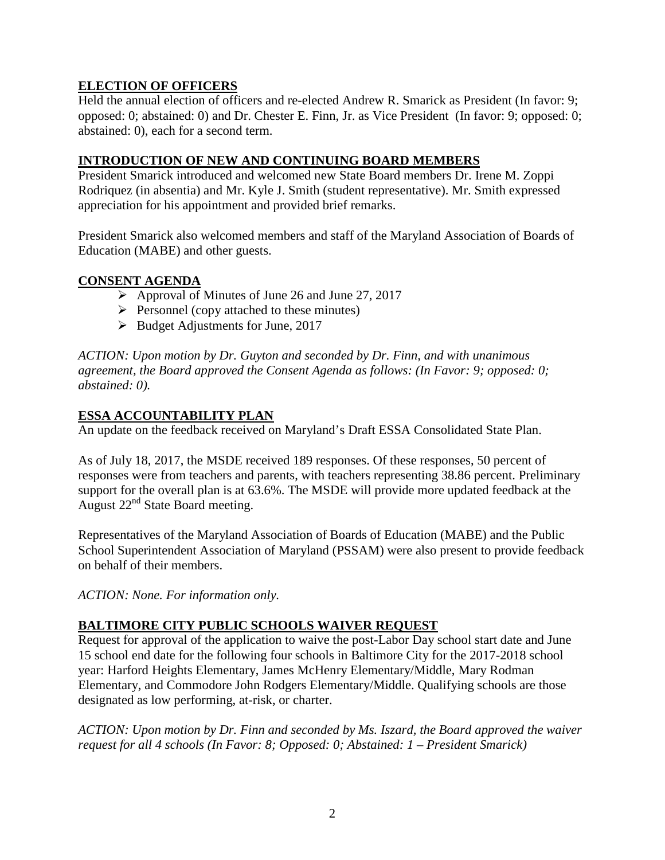# **ELECTION OF OFFICERS**

Held the annual election of officers and re-elected Andrew R. Smarick as President (In favor: 9; opposed: 0; abstained: 0) and Dr. Chester E. Finn, Jr. as Vice President (In favor: 9; opposed: 0; abstained: 0), each for a second term.

### **INTRODUCTION OF NEW AND CONTINUING BOARD MEMBERS**

President Smarick introduced and welcomed new State Board members Dr. Irene M. Zoppi Rodriquez (in absentia) and Mr. Kyle J. Smith (student representative). Mr. Smith expressed appreciation for his appointment and provided brief remarks.

President Smarick also welcomed members and staff of the Maryland Association of Boards of Education (MABE) and other guests.

### **CONSENT AGENDA**

- $\triangleright$  Approval of Minutes of June 26 and June 27, 2017
- $\triangleright$  Personnel (copy attached to these minutes)
- $\triangleright$  Budget Adjustments for June, 2017

*ACTION: Upon motion by Dr. Guyton and seconded by Dr. Finn, and with unanimous agreement, the Board approved the Consent Agenda as follows: (In Favor: 9; opposed: 0; abstained: 0).*

#### **ESSA ACCOUNTABILITY PLAN**

An update on the feedback received on Maryland's Draft ESSA Consolidated State Plan.

As of July 18, 2017, the MSDE received 189 responses. Of these responses, 50 percent of responses were from teachers and parents, with teachers representing 38.86 percent. Preliminary support for the overall plan is at 63.6%. The MSDE will provide more updated feedback at the August 22nd State Board meeting.

Representatives of the Maryland Association of Boards of Education (MABE) and the Public School Superintendent Association of Maryland (PSSAM) were also present to provide feedback on behalf of their members.

*ACTION: None. For information only.*

### **BALTIMORE CITY PUBLIC SCHOOLS WAIVER REQUEST**

Request for approval of the application to waive the post-Labor Day school start date and June 15 school end date for the following four schools in Baltimore City for the 2017-2018 school year: Harford Heights Elementary, James McHenry Elementary/Middle, Mary Rodman Elementary, and Commodore John Rodgers Elementary/Middle. Qualifying schools are those designated as low performing, at-risk, or charter.

*ACTION: Upon motion by Dr. Finn and seconded by Ms. Iszard, the Board approved the waiver request for all 4 schools (In Favor: 8; Opposed: 0; Abstained: 1 – President Smarick)*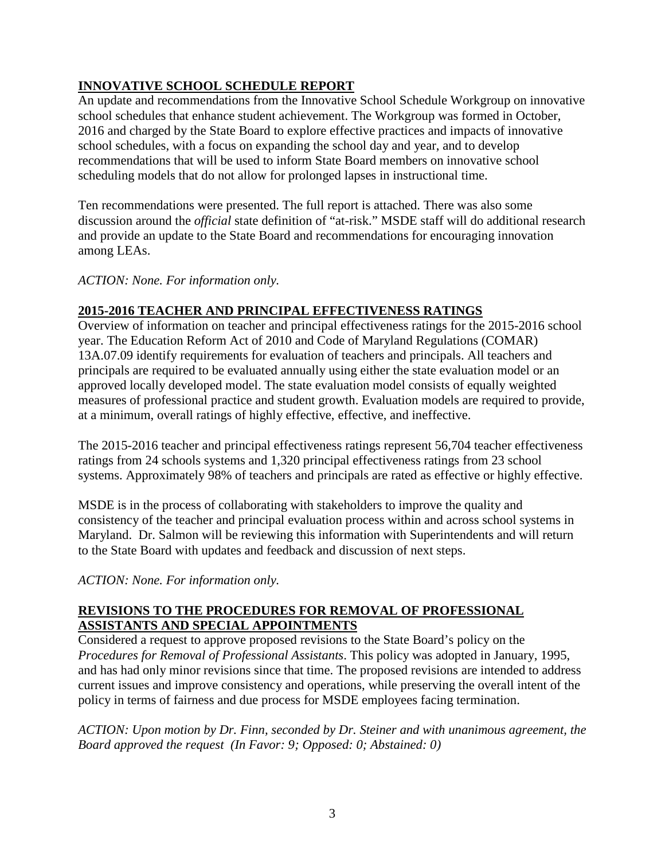# **INNOVATIVE SCHOOL SCHEDULE REPORT**

An update and recommendations from the Innovative School Schedule Workgroup on innovative school schedules that enhance student achievement. The Workgroup was formed in October, 2016 and charged by the State Board to explore effective practices and impacts of innovative school schedules, with a focus on expanding the school day and year, and to develop recommendations that will be used to inform State Board members on innovative school scheduling models that do not allow for prolonged lapses in instructional time.

Ten recommendations were presented. The full report is attached. There was also some discussion around the *official* state definition of "at-risk." MSDE staff will do additional research and provide an update to the State Board and recommendations for encouraging innovation among LEAs.

*ACTION: None. For information only.*

# **2015-2016 TEACHER AND PRINCIPAL EFFECTIVENESS RATINGS**

Overview of information on teacher and principal effectiveness ratings for the 2015-2016 school year. The Education Reform Act of 2010 and Code of Maryland Regulations (COMAR) 13A.07.09 identify requirements for evaluation of teachers and principals. All teachers and principals are required to be evaluated annually using either the state evaluation model or an approved locally developed model. The state evaluation model consists of equally weighted measures of professional practice and student growth. Evaluation models are required to provide, at a minimum, overall ratings of highly effective, effective, and ineffective.

The 2015-2016 teacher and principal effectiveness ratings represent 56,704 teacher effectiveness ratings from 24 schools systems and 1,320 principal effectiveness ratings from 23 school systems. Approximately 98% of teachers and principals are rated as effective or highly effective.

MSDE is in the process of collaborating with stakeholders to improve the quality and consistency of the teacher and principal evaluation process within and across school systems in Maryland. Dr. Salmon will be reviewing this information with Superintendents and will return to the State Board with updates and feedback and discussion of next steps.

*ACTION: None. For information only.*

### **REVISIONS TO THE PROCEDURES FOR REMOVAL OF PROFESSIONAL ASSISTANTS AND SPECIAL APPOINTMENTS**

Considered a request to approve proposed revisions to the State Board's policy on the *Procedures for Removal of Professional Assistants*. This policy was adopted in January, 1995, and has had only minor revisions since that time. The proposed revisions are intended to address current issues and improve consistency and operations, while preserving the overall intent of the policy in terms of fairness and due process for MSDE employees facing termination.

*ACTION: Upon motion by Dr. Finn, seconded by Dr. Steiner and with unanimous agreement, the Board approved the request (In Favor: 9; Opposed: 0; Abstained: 0)*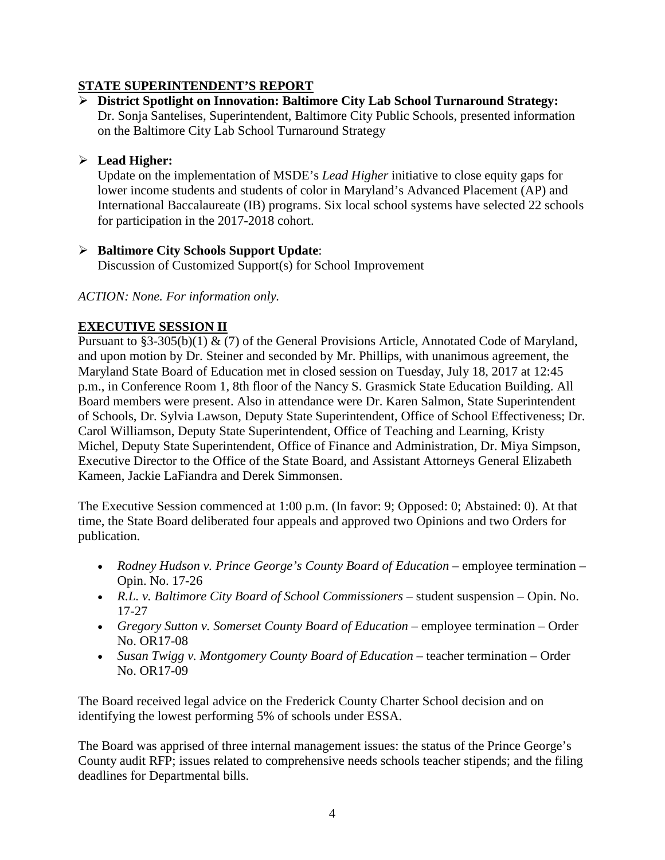# **STATE SUPERINTENDENT'S REPORT**

 **District Spotlight on Innovation: Baltimore City Lab School Turnaround Strategy:** Dr. Sonja Santelises, Superintendent, Baltimore City Public Schools, presented information on the Baltimore City Lab School Turnaround Strategy

# **Lead Higher:**

Update on the implementation of MSDE's *Lead Higher* initiative to close equity gaps for lower income students and students of color in Maryland's Advanced Placement (AP) and International Baccalaureate (IB) programs. Six local school systems have selected 22 schools for participation in the 2017-2018 cohort.

#### **Baltimore City Schools Support Update**: Discussion of Customized Support(s) for School Improvement

### *ACTION: None. For information only.*

# **EXECUTIVE SESSION II**

Pursuant to §3-305(b)(1) & (7) of the General Provisions Article, Annotated Code of Maryland, and upon motion by Dr. Steiner and seconded by Mr. Phillips, with unanimous agreement, the Maryland State Board of Education met in closed session on Tuesday, July 18, 2017 at 12:45 p.m., in Conference Room 1, 8th floor of the Nancy S. Grasmick State Education Building. All Board members were present. Also in attendance were Dr. Karen Salmon, State Superintendent of Schools, Dr. Sylvia Lawson, Deputy State Superintendent, Office of School Effectiveness; Dr. Carol Williamson, Deputy State Superintendent, Office of Teaching and Learning, Kristy Michel, Deputy State Superintendent, Office of Finance and Administration, Dr. Miya Simpson, Executive Director to the Office of the State Board, and Assistant Attorneys General Elizabeth Kameen, Jackie LaFiandra and Derek Simmonsen.

The Executive Session commenced at 1:00 p.m. (In favor: 9; Opposed: 0; Abstained: 0). At that time, the State Board deliberated four appeals and approved two Opinions and two Orders for publication.

- *Rodney Hudson v. Prince George's County Board of Education –* employee termination Opin. No. 17-26
- *R.L. v. Baltimore City Board of School Commissioners –* student suspension Opin. No. 17-27
- *Gregory Sutton v. Somerset County Board of Education –* employee termination Order No. OR17-08
- *Susan Twigg v. Montgomery County Board of Education –* teacher termination Order No. OR17-09

The Board received legal advice on the Frederick County Charter School decision and on identifying the lowest performing 5% of schools under ESSA.

The Board was apprised of three internal management issues: the status of the Prince George's County audit RFP; issues related to comprehensive needs schools teacher stipends; and the filing deadlines for Departmental bills.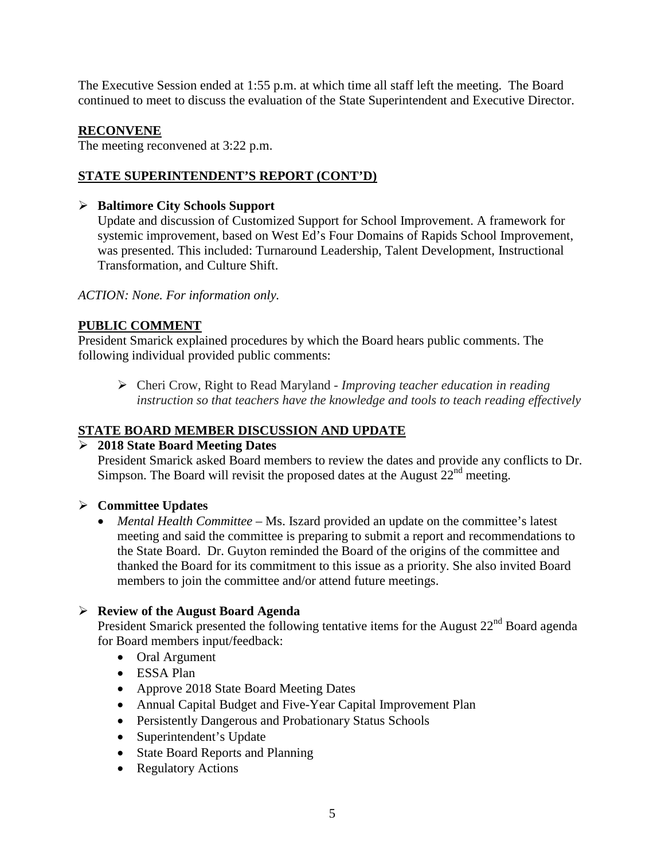The Executive Session ended at 1:55 p.m. at which time all staff left the meeting. The Board continued to meet to discuss the evaluation of the State Superintendent and Executive Director.

# **RECONVENE**

The meeting reconvened at 3:22 p.m.

# **STATE SUPERINTENDENT'S REPORT (CONT'D)**

# **Baltimore City Schools Support**

Update and discussion of Customized Support for School Improvement. A framework for systemic improvement, based on West Ed's Four Domains of Rapids School Improvement, was presented. This included: Turnaround Leadership, Talent Development, Instructional Transformation, and Culture Shift.

*ACTION: None. For information only.*

# **PUBLIC COMMENT**

President Smarick explained procedures by which the Board hears public comments. The following individual provided public comments:

 Cheri Crow, Right to Read Maryland - *Improving teacher education in reading instruction so that teachers have the knowledge and tools to teach reading effectively*

# **STATE BOARD MEMBER DISCUSSION AND UPDATE**

### **2018 State Board Meeting Dates**

President Smarick asked Board members to review the dates and provide any conflicts to Dr. Simpson. The Board will revisit the proposed dates at the August  $22<sup>nd</sup>$  meeting.

### **Committee Updates**

• *Mental Health Committee* – Ms. Iszard provided an update on the committee's latest meeting and said the committee is preparing to submit a report and recommendations to the State Board. Dr. Guyton reminded the Board of the origins of the committee and thanked the Board for its commitment to this issue as a priority. She also invited Board members to join the committee and/or attend future meetings.

### **Review of the August Board Agenda**

President Smarick presented the following tentative items for the August 22<sup>nd</sup> Board agenda for Board members input/feedback:

- Oral Argument
- ESSA Plan
- Approve 2018 State Board Meeting Dates
- Annual Capital Budget and Five-Year Capital Improvement Plan
- Persistently Dangerous and Probationary Status Schools
- Superintendent's Update
- State Board Reports and Planning
- Regulatory Actions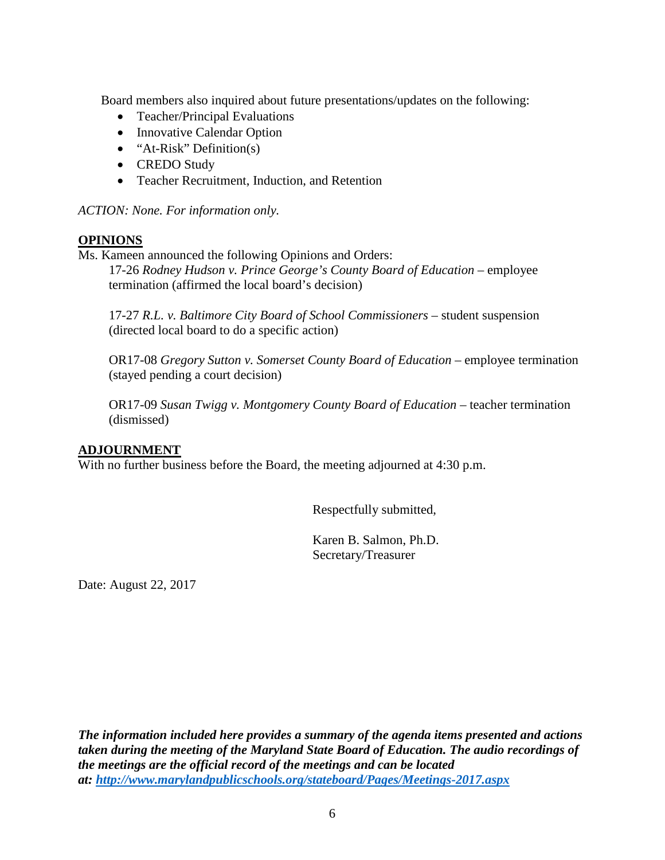Board members also inquired about future presentations/updates on the following:

- Teacher/Principal Evaluations
- Innovative Calendar Option
- "At-Risk" Definition(s)
- CREDO Study
- Teacher Recruitment, Induction, and Retention

*ACTION: None. For information only.*

#### **OPINIONS**

Ms. Kameen announced the following Opinions and Orders:

17-26 *Rodney Hudson v. Prince George's County Board of Education –* employee termination (affirmed the local board's decision)

17-27 *R.L. v. Baltimore City Board of School Commissioners –* student suspension (directed local board to do a specific action)

OR17-08 *Gregory Sutton v. Somerset County Board of Education –* employee termination (stayed pending a court decision)

OR17-09 *Susan Twigg v. Montgomery County Board of Education –* teacher termination (dismissed)

#### **ADJOURNMENT**

With no further business before the Board, the meeting adjourned at 4:30 p.m.

Respectfully submitted,

Karen B. Salmon, Ph.D. Secretary/Treasurer

Date: August 22, 2017

*The information included here provides a summary of the agenda items presented and actions taken during the meeting of the Maryland State Board of Education. The audio recordings of the meetings are the official record of the meetings and can be located at:<http://www.marylandpublicschools.org/stateboard/Pages/Meetings-2017.aspx>*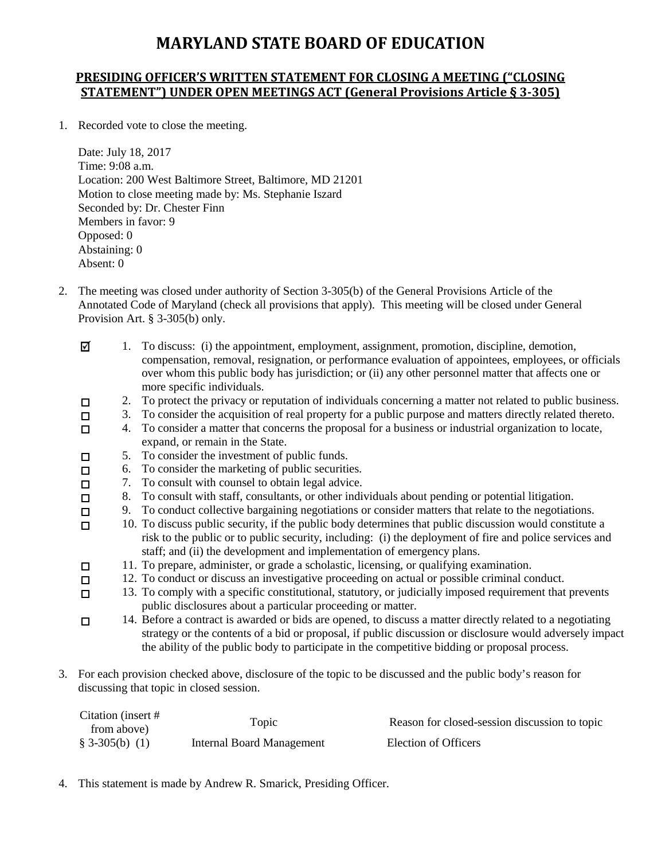# **MARYLAND STATE BOARD OF EDUCATION**

#### **PRESIDING OFFICER'S WRITTEN STATEMENT FOR CLOSING A MEETING ("CLOSING STATEMENT") UNDER OPEN MEETINGS ACT (General Provisions Article § 3-305)**

1. Recorded vote to close the meeting.

Date: July 18, 2017 Time: 9:08 a.m. Location: 200 West Baltimore Street, Baltimore, MD 21201 Motion to close meeting made by: Ms. Stephanie Iszard Seconded by: Dr. Chester Finn Members in favor: 9 Opposed: 0 Abstaining: 0 Absent: 0

2. The meeting was closed under authority of Section 3-305(b) of the General Provisions Article of the Annotated Code of Maryland (check all provisions that apply). This meeting will be closed under General Provision Art. § 3-305(b) only.

| ☑      |    | To discuss: (i) the appointment, employment, assignment, promotion, discipline, demotion,                  |
|--------|----|------------------------------------------------------------------------------------------------------------|
|        |    | compensation, removal, resignation, or performance evaluation of appointees, employees, or officials       |
|        |    | over whom this public body has jurisdiction; or (ii) any other personnel matter that affects one or        |
|        |    | more specific individuals.                                                                                 |
| □      | 2. | To protect the privacy or reputation of individuals concerning a matter not related to public business.    |
| □      | 3. | To consider the acquisition of real property for a public purpose and matters directly related thereto.    |
| □      | 4. | To consider a matter that concerns the proposal for a business or industrial organization to locate,       |
|        |    | expand, or remain in the State.                                                                            |
| □      |    | 5. To consider the investment of public funds.                                                             |
| $\Box$ | 6. | To consider the marketing of public securities.                                                            |
| $\Box$ | 7. | To consult with counsel to obtain legal advice.                                                            |
| $\Box$ | 8. | To consult with staff, consultants, or other individuals about pending or potential litigation.            |
| □      | 9. | To conduct collective bargaining negotiations or consider matters that relate to the negotiations.         |
| п      |    | 10. To discuss public security, if the public body determines that public discussion would constitute a    |
|        |    | risk to the public or to public security, including: (i) the deployment of fire and police services and    |
|        |    | staff; and (ii) the development and implementation of emergency plans.                                     |
| □      |    | 11. To prepare, administer, or grade a scholastic, licensing, or qualifying examination.                   |
| □      |    | 12. To conduct or discuss an investigative proceeding on actual or possible criminal conduct.              |
| □      |    | 13. To comply with a specific constitutional, statutory, or judicially imposed requirement that prevents   |
|        |    | public disclosures about a particular proceeding or matter.                                                |
| □      |    | 14. Before a contract is awarded or bids are opened, to discuss a matter directly related to a negotiating |
|        |    | strategy or the contents of a bid or proposal, if public discussion or disclosure would adversely impact   |

- the ability of the public body to participate in the competitive bidding or proposal process.
- 3. For each provision checked above, disclosure of the topic to be discussed and the public body's reason for discussing that topic in closed session.

| Citation (insert # | Topic                     | Reason for closed-session discussion to topic |
|--------------------|---------------------------|-----------------------------------------------|
| from above)        |                           |                                               |
| $$3-305(b) (1)$    | Internal Board Management | Election of Officers                          |

4. This statement is made by Andrew R. Smarick, Presiding Officer.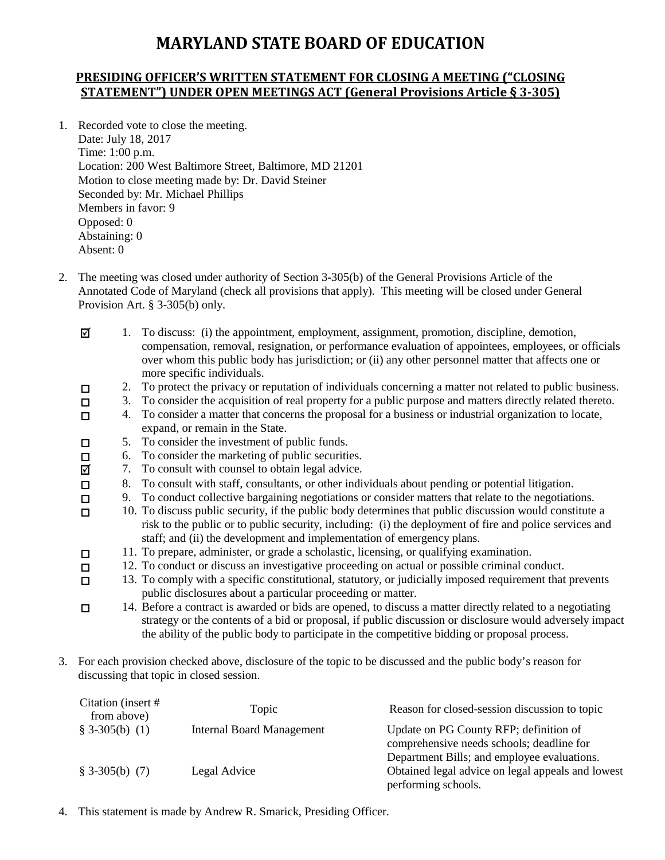# **MARYLAND STATE BOARD OF EDUCATION**

#### **PRESIDING OFFICER'S WRITTEN STATEMENT FOR CLOSING A MEETING ("CLOSING STATEMENT") UNDER OPEN MEETINGS ACT (General Provisions Article § 3-305)**

- 1. Recorded vote to close the meeting. Date: July 18, 2017 Time: 1:00 p.m. Location: 200 West Baltimore Street, Baltimore, MD 21201 Motion to close meeting made by: Dr. David Steiner Seconded by: Mr. Michael Phillips Members in favor: 9 Opposed: 0 Abstaining: 0 Absent: 0
- 2. The meeting was closed under authority of Section 3-305(b) of the General Provisions Article of the Annotated Code of Maryland (check all provisions that apply). This meeting will be closed under General Provision Art. § 3-305(b) only.
	- ☑ 1. To discuss: (i) the appointment, employment, assignment, promotion, discipline, demotion, compensation, removal, resignation, or performance evaluation of appointees, employees, or officials over whom this public body has jurisdiction; or (ii) any other personnel matter that affects one or more specific individuals.  $\Box$ 2. To protect the privacy or reputation of individuals concerning a matter not related to public business. 3. To consider the acquisition of real property for a public purpose and matters directly related thereto.  $\Box$ 4. To consider a matter that concerns the proposal for a business or industrial organization to locate,  $\Box$ expand, or remain in the State. 5. To consider the investment of public funds.  $\Box$ 6. To consider the marketing of public securities.  $\Box$ 7. To consult with counsel to obtain legal advice. ☑ 8. To consult with staff, consultants, or other individuals about pending or potential litigation.  $\Box$ 9. To conduct collective bargaining negotiations or consider matters that relate to the negotiations.  $\Box$ 10. To discuss public security, if the public body determines that public discussion would constitute a  $\Box$ risk to the public or to public security, including: (i) the deployment of fire and police services and staff; and (ii) the development and implementation of emergency plans. 11. To prepare, administer, or grade a scholastic, licensing, or qualifying examination.  $\Box$ 12. To conduct or discuss an investigative proceeding on actual or possible criminal conduct.  $\Box$ 13. To comply with a specific constitutional, statutory, or judicially imposed requirement that prevents  $\Box$ public disclosures about a particular proceeding or matter. 14. Before a contract is awarded or bids are opened, to discuss a matter directly related to a negotiating  $\Box$ strategy or the contents of a bid or proposal, if public discussion or disclosure would adversely impact the ability of the public body to participate in the competitive bidding or proposal process.
- 3. For each provision checked above, disclosure of the topic to be discussed and the public body's reason for discussing that topic in closed session.

| Citation (insert #<br>from above) | Topic                            | Reason for closed-session discussion to topic     |
|-----------------------------------|----------------------------------|---------------------------------------------------|
| $$3-305(b) (1)$                   | <b>Internal Board Management</b> | Update on PG County RFP; definition of            |
|                                   |                                  | comprehensive needs schools; deadline for         |
|                                   |                                  | Department Bills; and employee evaluations.       |
| $$3-305(b) (7)$                   | Legal Advice                     | Obtained legal advice on legal appeals and lowest |
|                                   |                                  | performing schools.                               |

4. This statement is made by Andrew R. Smarick, Presiding Officer.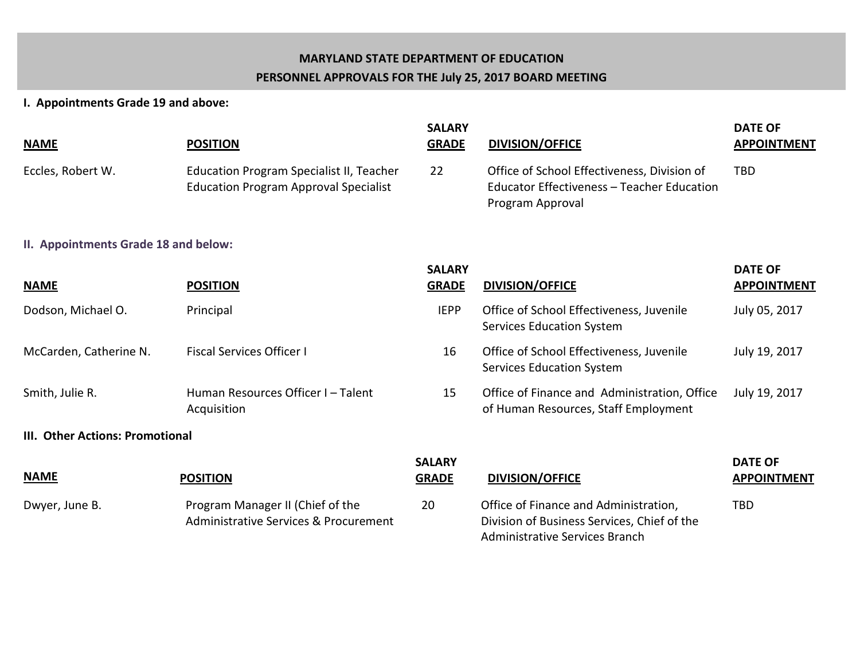# **MARYLAND STATE DEPARTMENT OF EDUCATION PERSONNEL APPROVALS FOR THE July 25, 2017 BOARD MEETING**

# **I. Appointments Grade 19 and above:**

| <b>NAME</b>                          | <b>POSITION</b>                                                                          | <b>SALARY</b><br><b>GRADE</b> | <b>DIVISION/OFFICE</b>                                                                                                        | <b>DATE OF</b><br><b>APPOINTMENT</b> |
|--------------------------------------|------------------------------------------------------------------------------------------|-------------------------------|-------------------------------------------------------------------------------------------------------------------------------|--------------------------------------|
| Eccles, Robert W.                    | Education Program Specialist II, Teacher<br><b>Education Program Approval Specialist</b> | 22                            | Office of School Effectiveness, Division of<br>Educator Effectiveness - Teacher Education<br>Program Approval                 | <b>TBD</b>                           |
| II. Appointments Grade 18 and below: |                                                                                          |                               |                                                                                                                               |                                      |
| <b>NAME</b>                          | <b>POSITION</b>                                                                          | <b>SALARY</b><br><b>GRADE</b> | <b>DIVISION/OFFICE</b>                                                                                                        | <b>DATE OF</b><br><b>APPOINTMENT</b> |
| Dodson, Michael O.                   | Principal                                                                                | <b>IEPP</b>                   | Office of School Effectiveness, Juvenile<br><b>Services Education System</b>                                                  | July 05, 2017                        |
| McCarden, Catherine N.               | <b>Fiscal Services Officer I</b>                                                         | 16                            | Office of School Effectiveness, Juvenile<br><b>Services Education System</b>                                                  | July 19, 2017                        |
| Smith, Julie R.                      | Human Resources Officer I-Talent<br>Acquisition                                          | 15                            | Office of Finance and Administration, Office<br>of Human Resources, Staff Employment                                          | July 19, 2017                        |
| III. Other Actions: Promotional      |                                                                                          |                               |                                                                                                                               |                                      |
| <b>NAME</b>                          | <b>POSITION</b>                                                                          | <b>SALARY</b><br><b>GRADE</b> | <b>DIVISION/OFFICE</b>                                                                                                        | <b>DATE OF</b><br><b>APPOINTMENT</b> |
| Dwyer, June B.                       | Program Manager II (Chief of the<br>Administrative Services & Procurement                | 20                            | Office of Finance and Administration,<br>Division of Business Services, Chief of the<br><b>Administrative Services Branch</b> | <b>TBD</b>                           |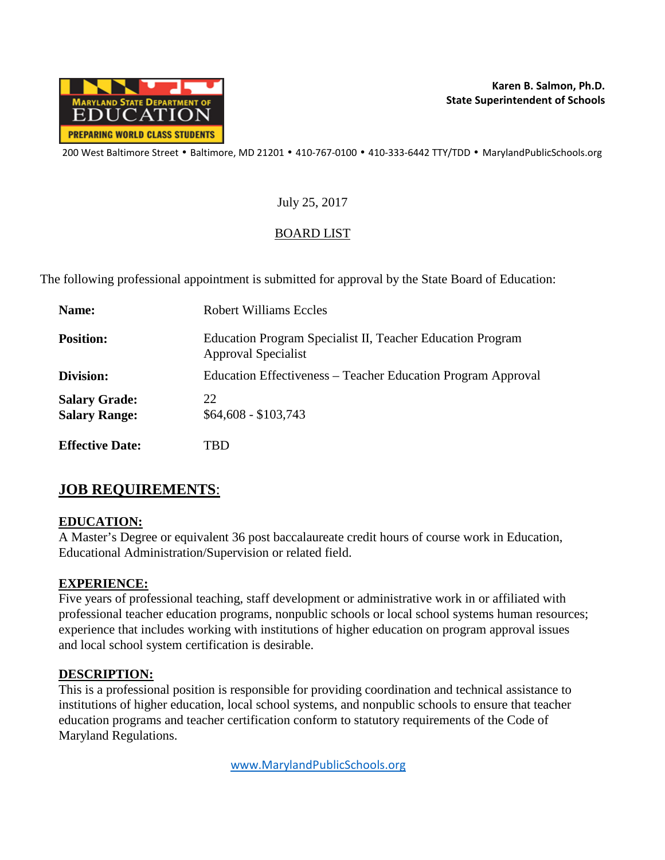

### July 25, 2017

# BOARD LIST

The following professional appointment is submitted for approval by the State Board of Education:

| Name:                                        | Robert Williams Eccles                                                            |
|----------------------------------------------|-----------------------------------------------------------------------------------|
| <b>Position:</b>                             | Education Program Specialist II, Teacher Education Program<br>Approval Specialist |
| Division:                                    | Education Effectiveness – Teacher Education Program Approval                      |
| <b>Salary Grade:</b><br><b>Salary Range:</b> | 22<br>$$64,608 - $103,743$                                                        |
| <b>Effective Date:</b>                       | TBD                                                                               |

# **JOB REQUIREMENTS**:

### **EDUCATION:**

A Master's Degree or equivalent 36 post baccalaureate credit hours of course work in Education, Educational Administration/Supervision or related field.

### **EXPERIENCE:**

Five years of professional teaching, staff development or administrative work in or affiliated with professional teacher education programs, nonpublic schools or local school systems human resources; experience that includes working with institutions of higher education on program approval issues and local school system certification is desirable.

### **DESCRIPTION:**

This is a professional position is responsible for providing coordination and technical assistance to institutions of higher education, local school systems, and nonpublic schools to ensure that teacher education programs and teacher certification conform to statutory requirements of the Code of Maryland Regulations.

[www.MarylandPublicSchools.org](http://www.marylandpublicschools.org/)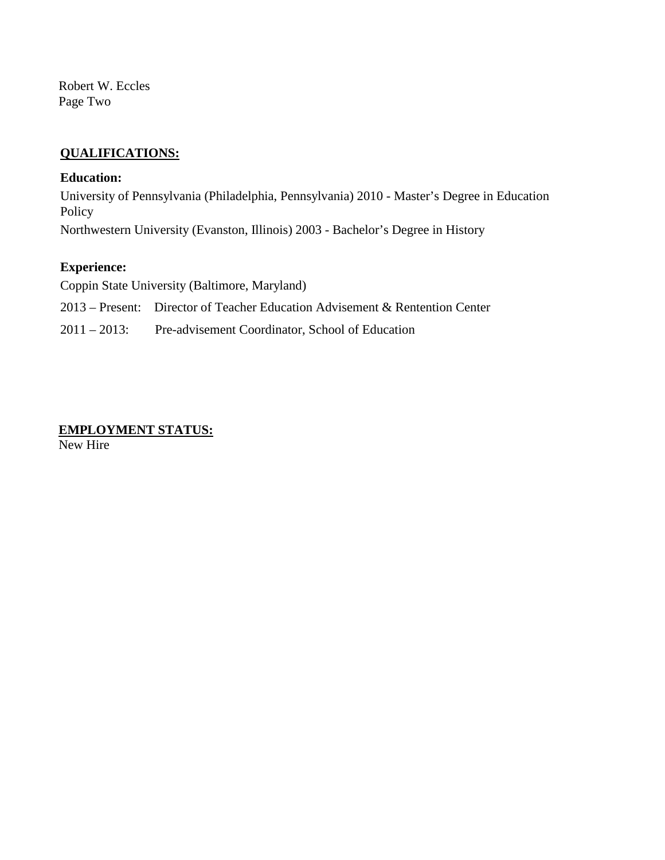Robert W. Eccles Page Two

### **QUALIFICATIONS:**

#### **Education:**

University of Pennsylvania (Philadelphia, Pennsylvania) 2010 - Master's Degree in Education Policy Northwestern University (Evanston, Illinois) 2003 - Bachelor's Degree in History

#### **Experience:**

Coppin State University (Baltimore, Maryland)

2013 – Present: Director of Teacher Education Advisement & Rentention Center

2011 – 2013: Pre-advisement Coordinator, School of Education

# **EMPLOYMENT STATUS:**

New Hire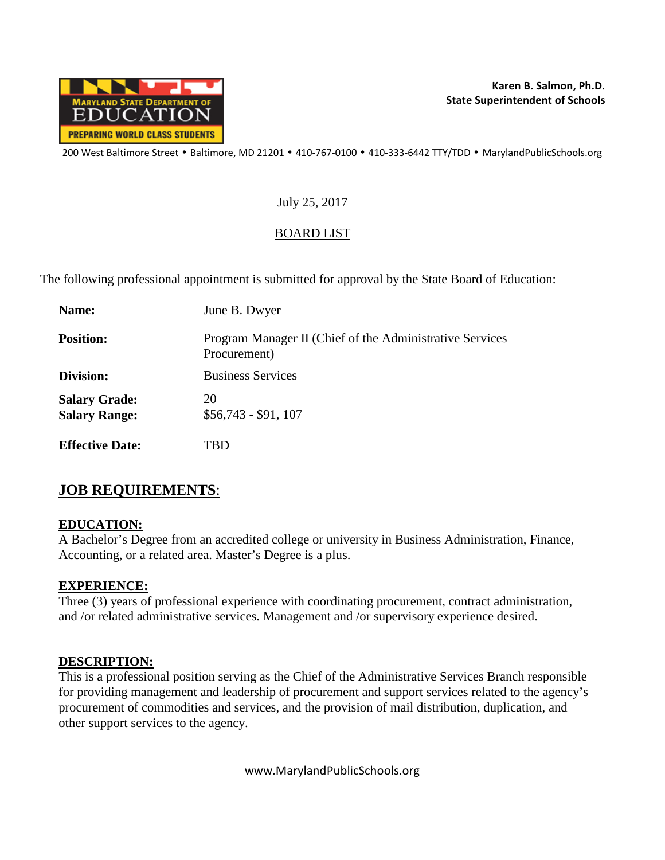

### July 25, 2017

# BOARD LIST

The following professional appointment is submitted for approval by the State Board of Education:

| Name:                                        | June B. Dwyer                                                            |
|----------------------------------------------|--------------------------------------------------------------------------|
| <b>Position:</b>                             | Program Manager II (Chief of the Administrative Services<br>Procurement) |
| Division:                                    | <b>Business Services</b>                                                 |
| <b>Salary Grade:</b><br><b>Salary Range:</b> | 20<br>$$56,743 - $91,107$                                                |
| <b>Effective Date:</b>                       | FBD                                                                      |

# **JOB REQUIREMENTS**:

### **EDUCATION:**

A Bachelor's Degree from an accredited college or university in Business Administration, Finance, Accounting, or a related area. Master's Degree is a plus.

### **EXPERIENCE:**

Three (3) years of professional experience with coordinating procurement, contract administration, and /or related administrative services. Management and /or supervisory experience desired.

### **DESCRIPTION:**

This is a professional position serving as the Chief of the Administrative Services Branch responsible for providing management and leadership of procurement and support services related to the agency's procurement of commodities and services, and the provision of mail distribution, duplication, and other support services to the agency.

www.MarylandPublicSchools.org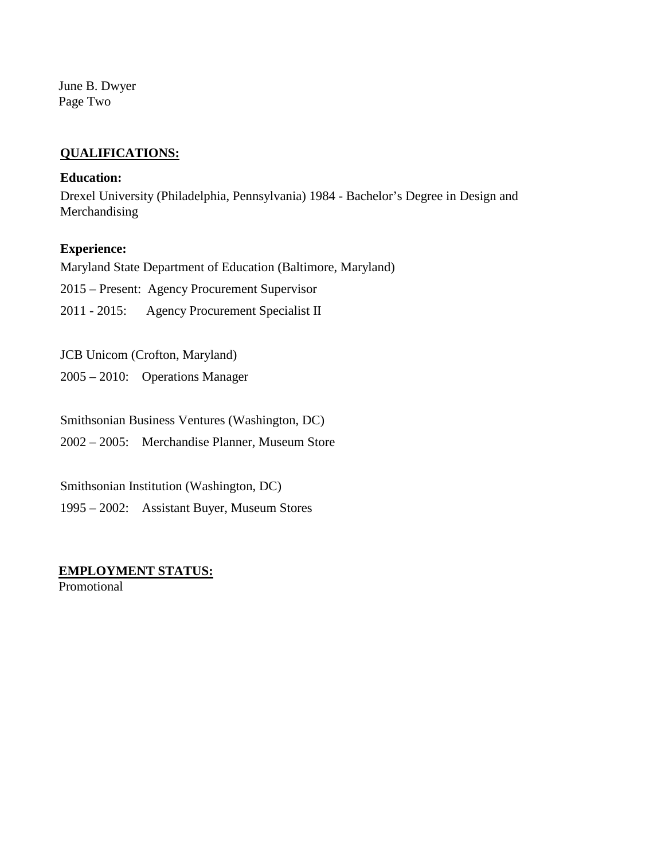June B. Dwyer Page Two

#### **QUALIFICATIONS:**

#### **Education:**

Drexel University (Philadelphia, Pennsylvania) 1984 - Bachelor's Degree in Design and Merchandising

#### **Experience:**

Maryland State Department of Education (Baltimore, Maryland)

2015 – Present: Agency Procurement Supervisor

2011 - 2015: Agency Procurement Specialist II

JCB Unicom (Crofton, Maryland)

2005 – 2010: Operations Manager

Smithsonian Business Ventures (Washington, DC)

2002 – 2005: Merchandise Planner, Museum Store

Smithsonian Institution (Washington, DC)

1995 – 2002: Assistant Buyer, Museum Stores

#### **EMPLOYMENT STATUS:**

**Promotional**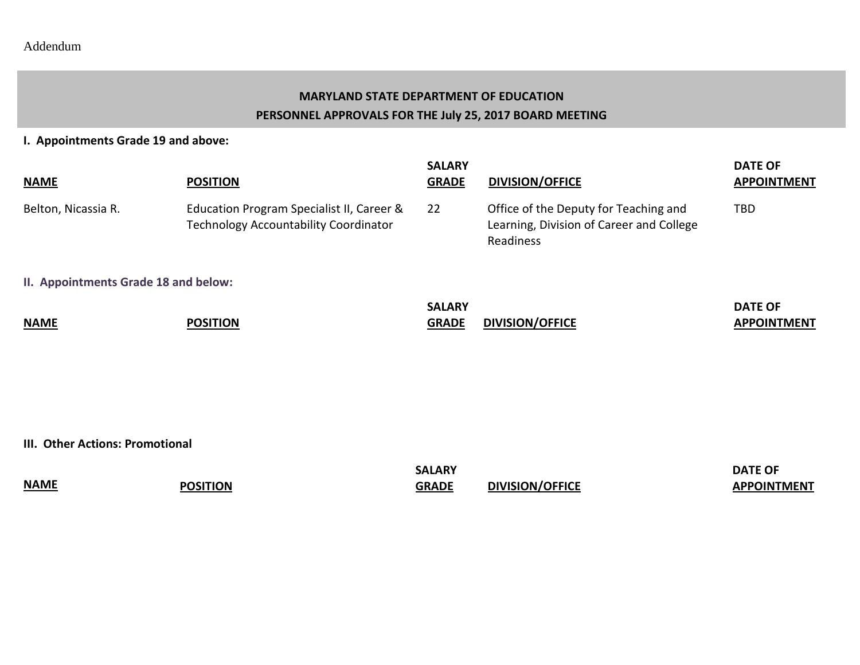# **MARYLAND STATE DEPARTMENT OF EDUCATION PERSONNEL APPROVALS FOR THE July 25, 2017 BOARD MEETING**

**I. Appointments Grade 19 and above:**

| <b>NAME</b>                          | <b>POSITION</b>                                                                    | <b>SALARY</b><br><b>GRADE</b> | <b>DIVISION/OFFICE</b>                                                                         | <b>DATE OF</b><br><b>APPOINTMENT</b> |
|--------------------------------------|------------------------------------------------------------------------------------|-------------------------------|------------------------------------------------------------------------------------------------|--------------------------------------|
| Belton, Nicassia R.                  | Education Program Specialist II, Career &<br>Technology Accountability Coordinator | 22                            | Office of the Deputy for Teaching and<br>Learning, Division of Career and College<br>Readiness | TBD                                  |
| II. Appointments Grade 18 and below: |                                                                                    |                               |                                                                                                |                                      |
| <b>NAME</b>                          | <b>POSITION</b>                                                                    | <b>SALARY</b><br><b>GRADE</b> | <b>DIVISION/OFFICE</b>                                                                         | <b>DATE OF</b><br><b>APPOINTMENT</b> |

**III. Other Actions: Promotional** 

|             |                 | <b>SALARY</b> |                        | <b>DATE OF</b>     |
|-------------|-----------------|---------------|------------------------|--------------------|
| <b>NAME</b> | <b>POSITION</b> | <b>GRADE</b>  | <b>DIVISION/OFFICE</b> | <b>APPOINTMENT</b> |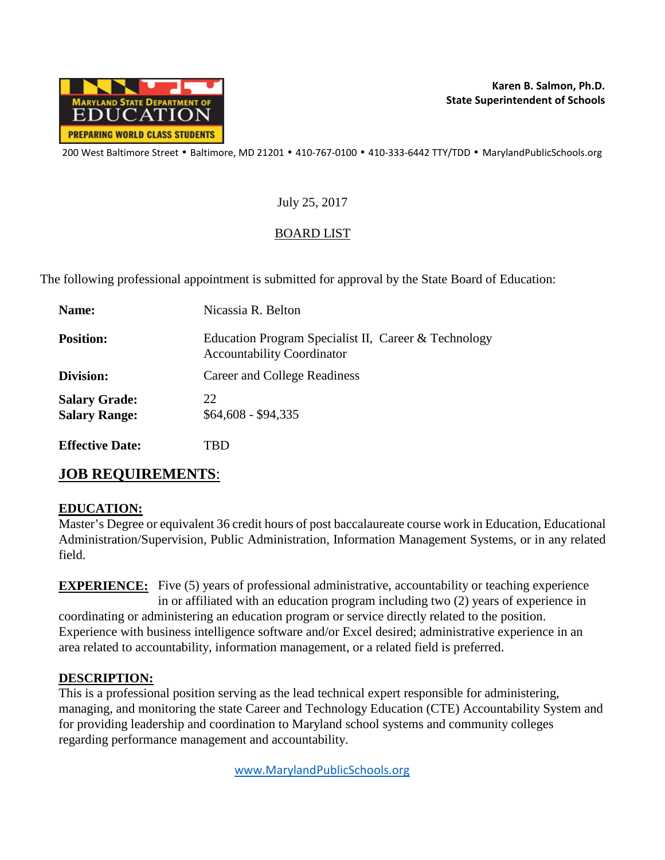

### July 25, 2017

# BOARD LIST

The following professional appointment is submitted for approval by the State Board of Education:

| Name:                                        | Nicassia R. Belton                                                                        |
|----------------------------------------------|-------------------------------------------------------------------------------------------|
| <b>Position:</b>                             | Education Program Specialist II, Career & Technology<br><b>Accountability Coordinator</b> |
| Division:                                    | Career and College Readiness                                                              |
| <b>Salary Grade:</b><br><b>Salary Range:</b> | 22<br>$$64,608 - $94,335$                                                                 |
| <b>Effective Date:</b>                       | `BD                                                                                       |

# **JOB REQUIREMENTS**:

### **EDUCATION:**

Master's Degree or equivalent 36 credit hours of post baccalaureate course work in Education, Educational Administration/Supervision, Public Administration, Information Management Systems, or in any related field.

**EXPERIENCE:** Five (5) years of professional administrative, accountability or teaching experience in or affiliated with an education program including two (2) years of experience in coordinating or administering an education program or service directly related to the position. Experience with business intelligence software and/or Excel desired; administrative experience in an area related to accountability, information management, or a related field is preferred.

### **DESCRIPTION:**

This is a professional position serving as the lead technical expert responsible for administering, managing, and monitoring the state Career and Technology Education (CTE) Accountability System and for providing leadership and coordination to Maryland school systems and community colleges regarding performance management and accountability.

[www.MarylandPublicSchools.org](http://www.marylandpublicschools.org/)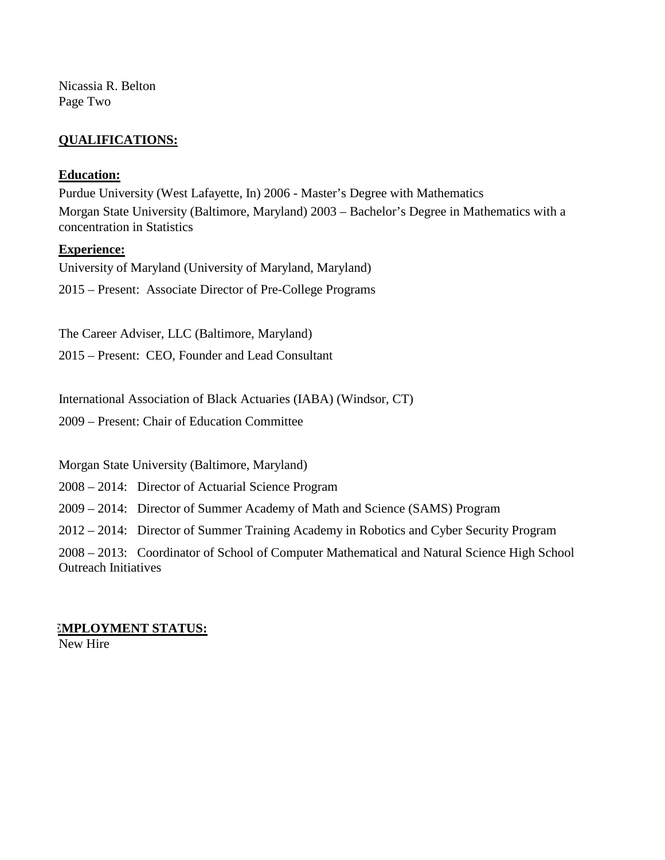Nicassia R. Belton Page Two

### **QUALIFICATIONS:**

#### **Education:**

Purdue University (West Lafayette, In) 2006 - Master's Degree with Mathematics Morgan State University (Baltimore, Maryland) 2003 – Bachelor's Degree in Mathematics with a concentration in Statistics

#### **Experience:**

University of Maryland (University of Maryland, Maryland) 2015 – Present: Associate Director of Pre-College Programs

The Career Adviser, LLC (Baltimore, Maryland) 2015 – Present: CEO, Founder and Lead Consultant

International Association of Black Actuaries (IABA) (Windsor, CT) 2009 – Present: Chair of Education Committee

Morgan State University (Baltimore, Maryland)

2008 – 2014: Director of Actuarial Science Program

2009 – 2014: Director of Summer Academy of Math and Science (SAMS) Program

2012 – 2014: Director of Summer Training Academy in Robotics and Cyber Security Program

2008 – 2013: Coordinator of School of Computer Mathematical and Natural Science High School Outreach Initiatives

#### **EMPLOYMENT STATUS:** New Hire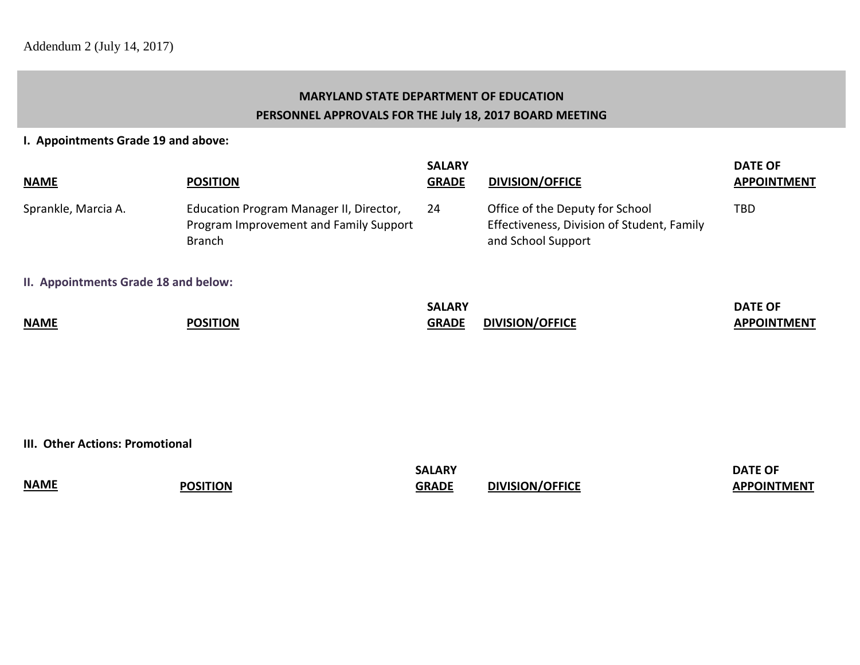# **MARYLAND STATE DEPARTMENT OF EDUCATION PERSONNEL APPROVALS FOR THE July 18, 2017 BOARD MEETING**

#### **I. Appointments Grade 19 and above:**

| <b>NAME</b>                          | <b>POSITION</b>                                                                                    | <b>SALARY</b><br><b>GRADE</b> | <b>DIVISION/OFFICE</b>                                                                              | <b>DATE OF</b><br><b>APPOINTMENT</b> |
|--------------------------------------|----------------------------------------------------------------------------------------------------|-------------------------------|-----------------------------------------------------------------------------------------------------|--------------------------------------|
| Sprankle, Marcia A.                  | Education Program Manager II, Director,<br>Program Improvement and Family Support<br><b>Branch</b> | 24                            | Office of the Deputy for School<br>Effectiveness, Division of Student, Family<br>and School Support | TBD                                  |
| II. Appointments Grade 18 and below: |                                                                                                    |                               |                                                                                                     |                                      |
| <b>NAME</b>                          | <b>POSITION</b>                                                                                    | <b>SALARY</b><br><b>GRADE</b> | <b>DIVISION/OFFICE</b>                                                                              | <b>DATE OF</b><br><b>APPOINTMENT</b> |

**III. Other Actions: Promotional** 

|             |                 | <b>SALARY</b> |                        | <b>DATE OF</b>     |
|-------------|-----------------|---------------|------------------------|--------------------|
| <b>NAME</b> | <b>POSITION</b> | <b>GRADE</b>  | <b>DIVISION/OFFICE</b> | <b>APPOINTMENT</b> |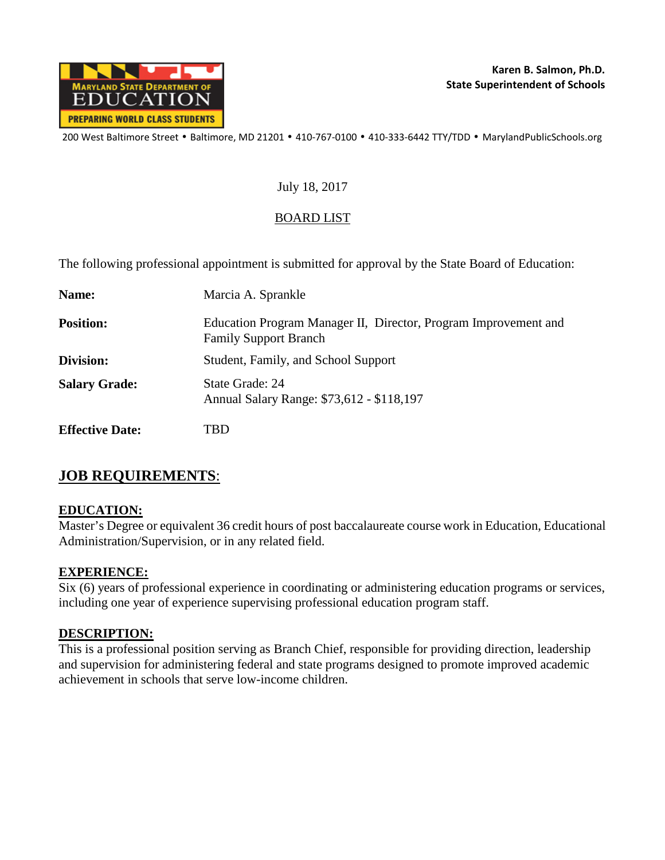

### July 18, 2017

### BOARD LIST

The following professional appointment is submitted for approval by the State Board of Education:

| Name:                  | Marcia A. Sprankle                                                                              |
|------------------------|-------------------------------------------------------------------------------------------------|
| <b>Position:</b>       | Education Program Manager II, Director, Program Improvement and<br><b>Family Support Branch</b> |
| Division:              | Student, Family, and School Support                                                             |
| <b>Salary Grade:</b>   | State Grade: 24<br>Annual Salary Range: \$73,612 - \$118,197                                    |
| <b>Effective Date:</b> | TBD                                                                                             |

# **JOB REQUIREMENTS**:

### **EDUCATION:**

Master's Degree or equivalent 36 credit hours of post baccalaureate course work in Education, Educational Administration/Supervision, or in any related field.

### **EXPERIENCE:**

Six (6) years of professional experience in coordinating or administering education programs or services, including one year of experience supervising professional education program staff.

### **DESCRIPTION:**

This is a professional position serving as Branch Chief, responsible for providing direction, leadership and supervision for administering federal and state programs designed to promote improved academic achievement in schools that serve low-income children.